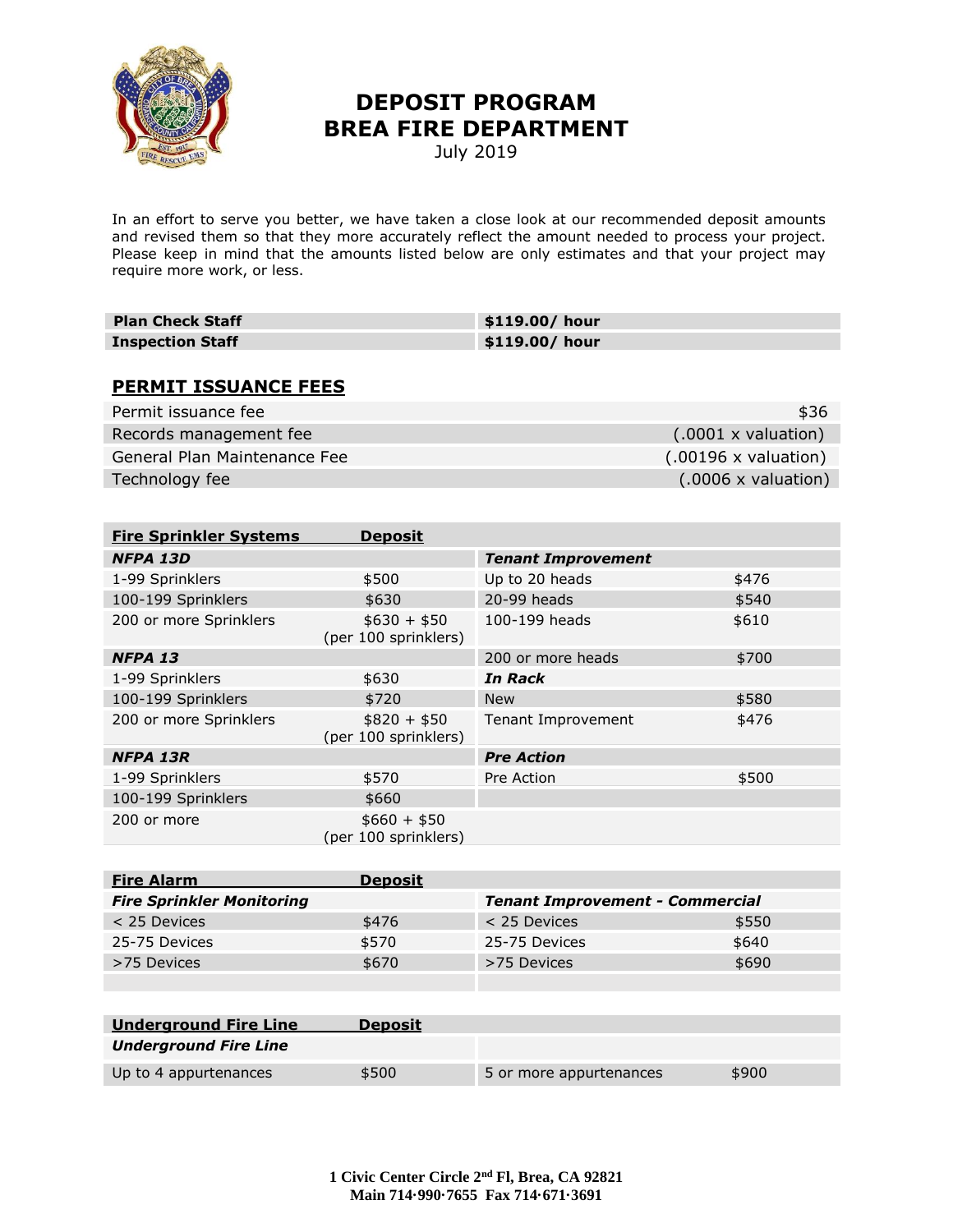

## **DEPOSIT PROGRAM BREA FIRE DEPARTMENT**

July 2019

In an effort to serve you better, we have taken a close look at our recommended deposit amounts and revised them so that they more accurately reflect the amount needed to process your project. Please keep in mind that the amounts listed below are only estimates and that your project may require more work, or less.

| <b>Plan Check Staff</b> | \$119.00/ hour |
|-------------------------|----------------|
| <b>Inspection Staff</b> | \$119.00/ hour |

## **PERMIT ISSUANCE FEES**

| Permit issuance fee          | \$36                                |
|------------------------------|-------------------------------------|
| Records management fee       | $(0.0001 \times \text{valuation})$  |
| General Plan Maintenance Fee | $(0.00196 \times \text{valuation})$ |
| Technology fee               | $(0.0006 \times \text{valuation})$  |

| <b>Fire Sprinkler Systems</b> | <b>Deposit</b>                       |                           |       |
|-------------------------------|--------------------------------------|---------------------------|-------|
| NFPA 13D                      |                                      | <b>Tenant Improvement</b> |       |
| 1-99 Sprinklers               | \$500                                | Up to 20 heads            | \$476 |
| 100-199 Sprinklers            | \$630                                | 20-99 heads               | \$540 |
| 200 or more Sprinklers        | $$630 + $50$<br>(per 100 sprinklers) | 100-199 heads             | \$610 |
| NFPA <sub>13</sub>            |                                      | 200 or more heads         | \$700 |
| 1-99 Sprinklers               | \$630                                | In Rack                   |       |
| 100-199 Sprinklers            | \$720                                | <b>New</b>                | \$580 |
| 200 or more Sprinklers        | $$820 + $50$<br>(per 100 sprinklers) | Tenant Improvement        | \$476 |
| <b>NFPA 13R</b>               |                                      | <b>Pre Action</b>         |       |
| 1-99 Sprinklers               | \$570                                | Pre Action                | \$500 |
| 100-199 Sprinklers            | \$660                                |                           |       |
| 200 or more                   | $$660 + $50$<br>(per 100 sprinklers) |                           |       |

| <b>Fire Alarm</b>                | <b>Deposit</b> |                                        |       |
|----------------------------------|----------------|----------------------------------------|-------|
| <b>Fire Sprinkler Monitoring</b> |                | <b>Tenant Improvement - Commercial</b> |       |
| $<$ 25 Devices                   | \$476          | $<$ 25 Devices                         | \$550 |
| 25-75 Devices                    | \$570          | 25-75 Devices                          | \$640 |
| >75 Devices                      | \$670          | >75 Devices                            | \$690 |
|                                  |                |                                        |       |

| <b>Underground Fire Line</b> | <b>Deposit</b> |                         |       |
|------------------------------|----------------|-------------------------|-------|
| <b>Underground Fire Line</b> |                |                         |       |
| Up to 4 appurtenances        | \$500          | 5 or more appurtenances | \$900 |